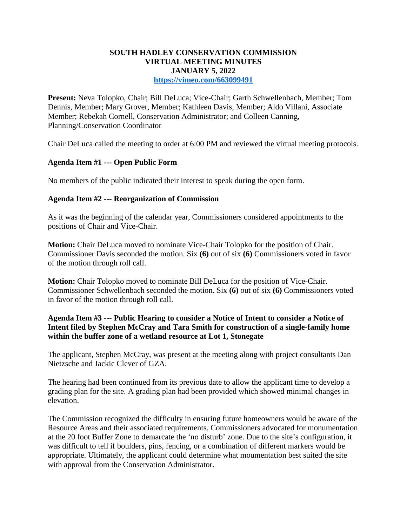# **SOUTH HADLEY CONSERVATION COMMISSION VIRTUAL MEETING MINUTES JANUARY 5, 2022**

**<https://vimeo.com/663099491>**

**Present:** Neva Tolopko, Chair; Bill DeLuca; Vice-Chair; Garth Schwellenbach, Member; Tom Dennis, Member; Mary Grover, Member; Kathleen Davis, Member; Aldo Villani, Associate Member; Rebekah Cornell, Conservation Administrator; and Colleen Canning, Planning/Conservation Coordinator

Chair DeLuca called the meeting to order at 6:00 PM and reviewed the virtual meeting protocols.

## **Agenda Item #1 --- Open Public Form**

No members of the public indicated their interest to speak during the open form.

## **Agenda Item #2 --- Reorganization of Commission**

As it was the beginning of the calendar year, Commissioners considered appointments to the positions of Chair and Vice-Chair.

**Motion:** Chair DeLuca moved to nominate Vice-Chair Tolopko for the position of Chair. Commissioner Davis seconded the motion. Six **(6)** out of six **(6)** Commissioners voted in favor of the motion through roll call.

**Motion:** Chair Tolopko moved to nominate Bill DeLuca for the position of Vice-Chair. Commissioner Schwellenbach seconded the motion. Six **(6)** out of six **(6)** Commissioners voted in favor of the motion through roll call.

## **Agenda Item #3 --- Public Hearing to consider a Notice of Intent to consider a Notice of Intent filed by Stephen McCray and Tara Smith for construction of a single-family home within the buffer zone of a wetland resource at Lot 1, Stonegate**

The applicant, Stephen McCray, was present at the meeting along with project consultants Dan Nietzsche and Jackie Clever of GZA.

The hearing had been continued from its previous date to allow the applicant time to develop a grading plan for the site. A grading plan had been provided which showed minimal changes in elevation.

The Commission recognized the difficulty in ensuring future homeowners would be aware of the Resource Areas and their associated requirements. Commissioners advocated for monumentation at the 20 foot Buffer Zone to demarcate the 'no disturb' zone. Due to the site's configuration, it was difficult to tell if boulders, pins, fencing, or a combination of different markers would be appropriate. Ultimately, the applicant could determine what moumentation best suited the site with approval from the Conservation Administrator.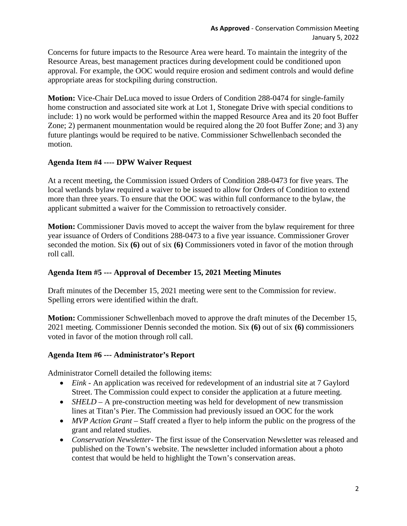Concerns for future impacts to the Resource Area were heard. To maintain the integrity of the Resource Areas, best management practices during development could be conditioned upon approval. For example, the OOC would require erosion and sediment controls and would define appropriate areas for stockpiling during construction.

**Motion:** Vice-Chair DeLuca moved to issue Orders of Condition 288-0474 for single-family home construction and associated site work at Lot 1, Stonegate Drive with special conditions to include: 1) no work would be performed within the mapped Resource Area and its 20 foot Buffer Zone; 2) permanent mounmentation would be required along the 20 foot Buffer Zone; and 3) any future plantings would be required to be native. Commissioner Schwellenbach seconded the motion.

## **Agenda Item #4 ---- DPW Waiver Request**

At a recent meeting, the Commission issued Orders of Condition 288-0473 for five years. The local wetlands bylaw required a waiver to be issued to allow for Orders of Condition to extend more than three years. To ensure that the OOC was within full conformance to the bylaw, the applicant submitted a waiver for the Commission to retroactively consider.

**Motion:** Commissioner Davis moved to accept the waiver from the bylaw requirement for three year issuance of Orders of Conditions 288-0473 to a five year issuance. Commissioner Grover seconded the motion. Six **(6)** out of six **(6)** Commissioners voted in favor of the motion through roll call.

#### **Agenda Item #5 --- Approval of December 15, 2021 Meeting Minutes**

Draft minutes of the December 15, 2021 meeting were sent to the Commission for review. Spelling errors were identified within the draft.

**Motion:** Commissioner Schwellenbach moved to approve the draft minutes of the December 15, 2021 meeting. Commissioner Dennis seconded the motion. Six **(6)** out of six **(6)** commissioners voted in favor of the motion through roll call.

#### **Agenda Item #6 --- Administrator's Report**

Administrator Cornell detailed the following items:

- *Eink* An application was received for redevelopment of an industrial site at 7 Gaylord Street. The Commission could expect to consider the application at a future meeting.
- *SHELD* A pre-construction meeting was held for development of new transmission lines at Titan's Pier. The Commission had previously issued an OOC for the work
- *MVP Action Grant* Staff created a flyer to help inform the public on the progress of the grant and related studies.
- *Conservation Newsletter* The first issue of the Conservation Newsletter was released and published on the Town's website. The newsletter included information about a photo contest that would be held to highlight the Town's conservation areas.